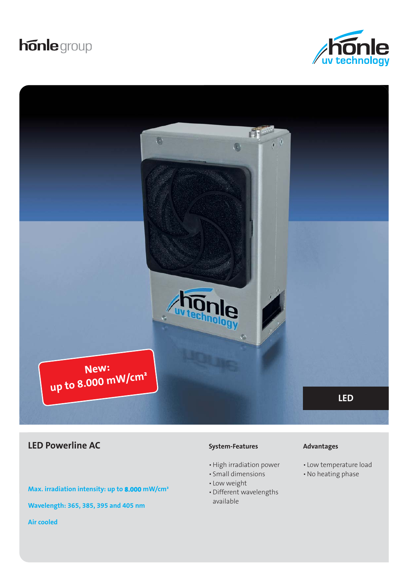# **honle** group





## **LED Powerline AC Advantages Advantages Advantages**

**Max. irradiation intensity: up to 8.000 mW/cm² Wavelength: 365, 385, 395 and 405 nm Air cooled**

#### **System-Features**

- High irradiation power
- Small dimensions
- Low weight
- Different wavelengths available

- Low temperature load
- No heating phase